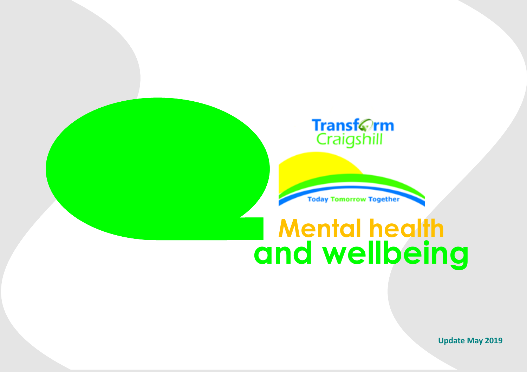

**Today Tomorrow Together** 

## **Mental health and wellbeing**

**Update May 2019**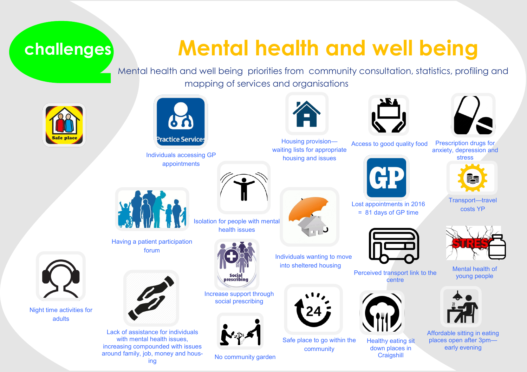### **challenges**

## **Mental health and well being**

Mental health and well being priorities from community consultation, statistics, profiling and mapping of services and organisations



Night time activities for adults



Individuals accessing GP appointments



Isolation for people with mental health issues



Social<br>prescribing

Increase support through social prescribing



No community garden









Prescription drugs for anxiety, depression and Access to good quality food



Transport—travel costs YP



Mental health of young people



Affordable sitting in eating places open after 3pm early evening





Lack of assistance for individuals with mental health issues. increasing compounded with issues around family, job, money and housing

Individuals wanting to move into sheltered housing



Safe place to go within the community



Perceived transport link to the centre







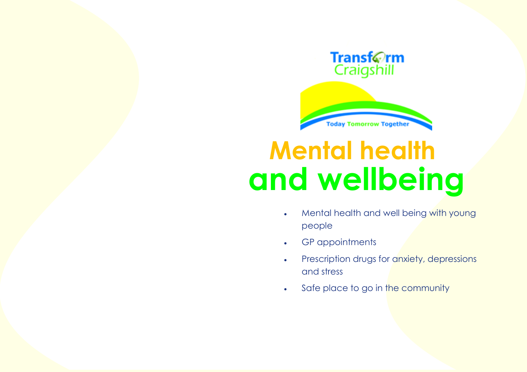



# **Mental health and wellbeing**

- Mental health and well being with young people
- GP appointments
- Prescription drugs for anxiety, depressions and stress
- . Safe place to go in the community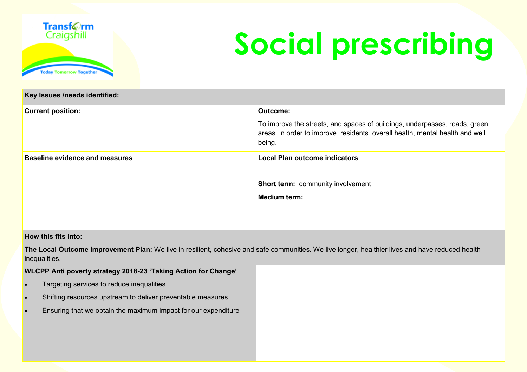

**Key Issues /needs identified:** 

# **Social prescribing**

| <u>1197 100000 /110000 100111111001</u> |                                                                                                                                                                    |  |  |  |  |  |
|-----------------------------------------|--------------------------------------------------------------------------------------------------------------------------------------------------------------------|--|--|--|--|--|
| <b>Current position:</b>                | Outcome:                                                                                                                                                           |  |  |  |  |  |
|                                         | To improve the streets, and spaces of buildings, underpasses, roads, green<br>areas in order to improve residents overall health, mental health and well<br>being. |  |  |  |  |  |
| <b>Baseline evidence and measures</b>   | Local Plan outcome indicators                                                                                                                                      |  |  |  |  |  |
|                                         | <b>Short term:</b> community involvement                                                                                                                           |  |  |  |  |  |
|                                         | <b>Medium term:</b>                                                                                                                                                |  |  |  |  |  |
|                                         |                                                                                                                                                                    |  |  |  |  |  |
|                                         |                                                                                                                                                                    |  |  |  |  |  |

### **How this fits into:**

**The Local Outcome Improvement Plan:** We live in resilient, cohesive and safe communities. We live longer, healthier lives and have reduced health inequalities.

#### **WLCPP Anti poverty strategy 2018-23 'Taking Action for Change'**

- Targeting services to reduce inequalities
- Shifting resources upstream to deliver preventable measures
- Ensuring that we obtain the maximum impact for our expenditure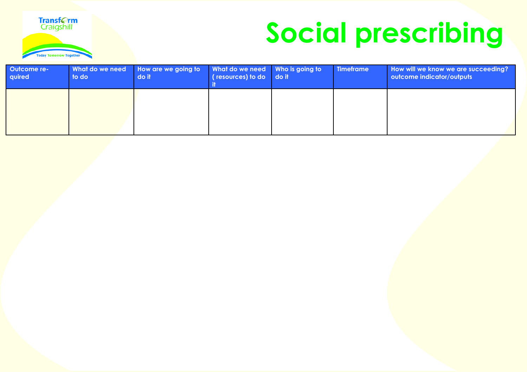

# **Social prescribing**

| Outcome re-<br>quired | What do we need<br>to do | How are we going to<br>do it | What do we need Who is going to<br>(resources) to do do it | <b>Timeframe</b> | How will we know we are succeeding?<br>outcome indicator/outputs |
|-----------------------|--------------------------|------------------------------|------------------------------------------------------------|------------------|------------------------------------------------------------------|
|                       |                          |                              |                                                            |                  |                                                                  |
|                       |                          |                              |                                                            |                  |                                                                  |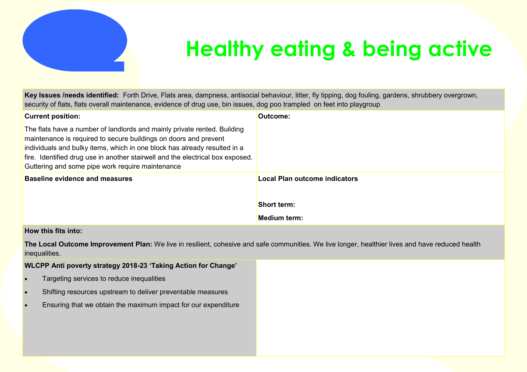

## **Healthy eating & being active**

**Key Issues /needs identified:** Forth Drive, Flats area, dampness, antisocial behaviour, litter, fly tipping, dog fouling, gardens, shrubbery overgrown, security of flats, flats overall maintenance, evidence of drug use, bin issues, dog poo trampled on feet into playgroup

| <b>Current position:</b>                                                                                                                                                                                                                                                                                                                                        | Outcome:                             |
|-----------------------------------------------------------------------------------------------------------------------------------------------------------------------------------------------------------------------------------------------------------------------------------------------------------------------------------------------------------------|--------------------------------------|
| The flats have a number of landlords and mainly private rented. Building<br>maintenance is required to secure buildings on doors and prevent<br>individuals and bulky items, which in one block has already resulted in a<br>fire. Identified drug use in another stairwell and the electrical box exposed.<br>Guttering and some pipe work require maintenance |                                      |
| <b>Baseline evidence and measures</b>                                                                                                                                                                                                                                                                                                                           | <b>Local Plan outcome indicators</b> |
|                                                                                                                                                                                                                                                                                                                                                                 | <b>Short term:</b>                   |
|                                                                                                                                                                                                                                                                                                                                                                 | <b>Medium term:</b>                  |

### **How this fits into:**

**The Local Outcome Improvement Plan:** We live in resilient, cohesive and safe communities. We live longer, healthier lives and have reduced health inequalities.

**WLCPP Anti poverty strategy 2018-23 'Taking Action for Change'** 

- Targeting services to reduce inequalities
- Shifting resources upstream to deliver preventable measures
- Ensuring that we obtain the maximum impact for our expenditure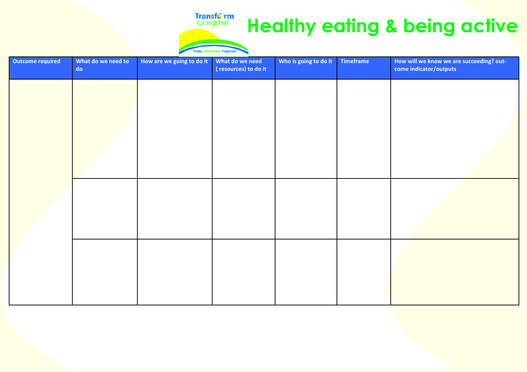### **Healthy eating & being active**

#### **Today Tom norrow Together**

Transf**orm**<br>Craigshill

| <b>Outcome required</b> | What do we need to<br>$\mathsf{do}$ | How are we going to do it | What do we need<br>(resources) to do it | Who is going to do it | Timeframe | How will we know we are succeeding? out-<br>come indicator/outputs |
|-------------------------|-------------------------------------|---------------------------|-----------------------------------------|-----------------------|-----------|--------------------------------------------------------------------|
|                         |                                     |                           |                                         |                       |           |                                                                    |
|                         |                                     |                           |                                         |                       |           |                                                                    |
|                         |                                     |                           |                                         |                       |           |                                                                    |
|                         |                                     |                           |                                         |                       |           |                                                                    |
|                         |                                     |                           |                                         |                       |           |                                                                    |
|                         |                                     |                           |                                         |                       |           |                                                                    |
|                         |                                     |                           |                                         |                       |           |                                                                    |
|                         |                                     |                           |                                         |                       |           |                                                                    |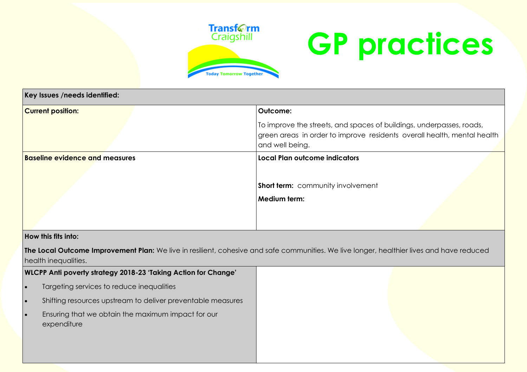

# **GP practices**

| Key Issues /needs identified:         |                                                                                                                                                                    |
|---------------------------------------|--------------------------------------------------------------------------------------------------------------------------------------------------------------------|
| <b>Current position:</b>              | Outcome:                                                                                                                                                           |
|                                       | To improve the streets, and spaces of buildings, underpasses, roads,<br>green areas in order to improve residents overall health, mental health<br>and well being. |
| <b>Baseline evidence and measures</b> | Local Plan outcome indicators                                                                                                                                      |
|                                       |                                                                                                                                                                    |
|                                       | Short term: community involvement                                                                                                                                  |
|                                       | Medium term:                                                                                                                                                       |
|                                       |                                                                                                                                                                    |
|                                       |                                                                                                                                                                    |

### **How this fits into:**

**The Local Outcome Improvement Plan:** We live in resilient, cohesive and safe communities. We live longer, healthier lives and have reduced health inequalities.

| WLCPP Anti poverty strategy 2018-23 'Taking Action for Change'    |  |  |  |
|-------------------------------------------------------------------|--|--|--|
| Targeting services to reduce inequalities                         |  |  |  |
| Shifting resources upstream to deliver preventable measures       |  |  |  |
| Ensuring that we obtain the maximum impact for our<br>expenditure |  |  |  |